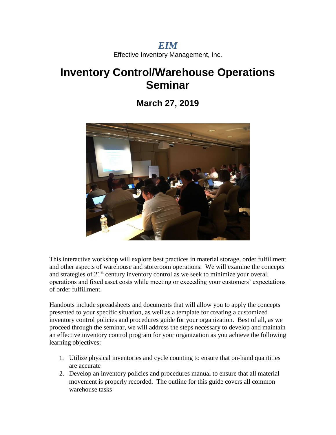*EIM* Effective Inventory Management, Inc.

# **Inventory Control/Warehouse Operations Seminar**

**March 27, 2019**



This interactive workshop will explore best practices in material storage, order fulfillment and other aspects of warehouse and storeroom operations. We will examine the concepts and strategies of  $21<sup>st</sup>$  century inventory control as we seek to minimize your overall operations and fixed asset costs while meeting or exceeding your customers' expectations of order fulfillment.

Handouts include spreadsheets and documents that will allow you to apply the concepts presented to your specific situation, as well as a template for creating a customized inventory control policies and procedures guide for your organization. Best of all, as we proceed through the seminar, we will address the steps necessary to develop and maintain an effective inventory control program for your organization as you achieve the following learning objectives:

- 1. Utilize physical inventories and cycle counting to ensure that on-hand quantities are accurate
- 2. Develop an inventory policies and procedures manual to ensure that all material movement is properly recorded. The outline for this guide covers all common warehouse tasks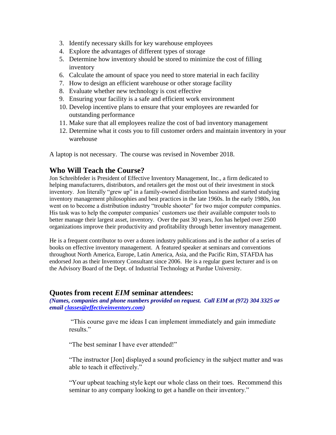- 3. Identify necessary skills for key warehouse employees
- 4. Explore the advantages of different types of storage
- 5. Determine how inventory should be stored to minimize the cost of filling inventory
- 6. Calculate the amount of space you need to store material in each facility
- 7. How to design an efficient warehouse or other storage facility
- 8. Evaluate whether new technology is cost effective
- 9. Ensuring your facility is a safe and efficient work environment
- 10. Develop incentive plans to ensure that your employees are rewarded for outstanding performance
- 11. Make sure that all employees realize the cost of bad inventory management
- 12. Determine what it costs you to fill customer orders and maintain inventory in your warehouse

A laptop is not necessary. The course was revised in November 2018.

### **Who Will Teach the Course?**

Jon Schreibfeder is President of Effective Inventory Management, Inc., a firm dedicated to helping manufacturers, distributors, and retailers get the most out of their investment in stock inventory. Jon literally "grew up" in a family-owned distribution business and started studying inventory management philosophies and best practices in the late 1960s. In the early 1980s, Jon went on to become a distribution industry "trouble shooter" for two major computer companies. His task was to help the computer companies' customers use their available computer tools to better manage their largest asset, inventory. Over the past 30 years, Jon has helped over 2500 organizations improve their productivity and profitability through better inventory management.

He is a frequent contributor to over a dozen industry publications and is the author of a series of books on effective inventory management. A featured speaker at seminars and conventions throughout North America, Europe, Latin America, Asia, and the Pacific Rim, STAFDA has endorsed Jon as their Inventory Consultant since 2006. He is a regular guest lecturer and is on the Advisory Board of the Dept. of Industrial Technology at Purdue University.

### **Quotes from recent** *EIM* **seminar attendees:**

*(Names, companies and phone numbers provided on request. Call EIM at (972) 304 3325 or email [classes@effectiveinventory.com\)](mailto:classes@effectiveinventory.com)*

"This course gave me ideas I can implement immediately and gain immediate results."

"The best seminar I have ever attended!"

"The instructor [Jon] displayed a sound proficiency in the subject matter and was able to teach it effectively."

"Your upbeat teaching style kept our whole class on their toes. Recommend this seminar to any company looking to get a handle on their inventory."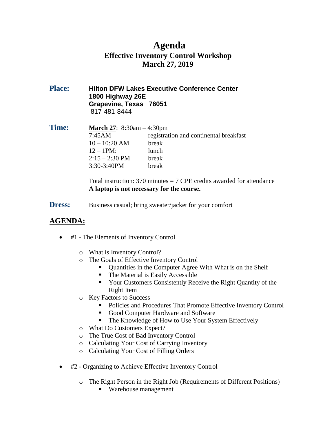### **Agenda Effective Inventory Control Workshop March 27, 2019**

**Place: Hilton DFW Lakes Executive Conference Center 1800 Highway 26E Grapevine, Texas 76051** 817-481-8444

| <b>Time:</b> | <b>March 27:</b> 8:30am $-4:30$ pm |                                        |  |
|--------------|------------------------------------|----------------------------------------|--|
|              | 7:45AM                             | registration and continental breakfast |  |
|              | $10 - 10:20$ AM                    | break                                  |  |
|              | $12 - 1PM:$                        | lunch                                  |  |
|              | $2:15 - 2:30 \text{ PM}$           | break                                  |  |
|              | 3:30-3:40PM                        | break                                  |  |

Total instruction:  $370$  minutes  $= 7$  CPE credits awarded for attendance **A laptop is not necessary for the course.**

**Dress:** Business casual; bring sweater/jacket for your comfort

### **AGENDA:**

- #1 The Elements of Inventory Control
	- o What is Inventory Control?
	- o The Goals of Effective Inventory Control
		- Quantities in the Computer Agree With What is on the Shelf
		- The Material is Easily Accessible
		- **The Vour Customers Consistently Receive the Right Quantity of the** Right Item
	- o Key Factors to Success
		- Policies and Procedures That Promote Effective Inventory Control
		- Good Computer Hardware and Software
		- The Knowledge of How to Use Your System Effectively
	- o What Do Customers Expect?
	- o The True Cost of Bad Inventory Control
	- o Calculating Your Cost of Carrying Inventory
	- o Calculating Your Cost of Filling Orders
- #2 Organizing to Achieve Effective Inventory Control
	- o The Right Person in the Right Job (Requirements of Different Positions)
		- Warehouse management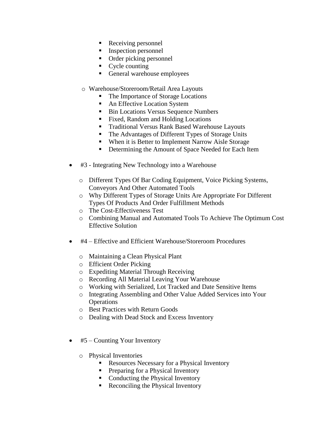- Receiving personnel
- Inspection personnel
- Order picking personnel
- $\blacksquare$  Cycle counting
- General warehouse employees
- o Warehouse/Storeroom/Retail Area Layouts
	- The Importance of Storage Locations
	- An Effective Location System
	- **Bin Locations Versus Sequence Numbers**
	- Fixed, Random and Holding Locations
	- **Traditional Versus Rank Based Warehouse Layouts**
	- **The Advantages of Different Types of Storage Units**
	- When it is Better to Implement Narrow Aisle Storage
	- **•** Determining the Amount of Space Needed for Each Item
- #3 Integrating New Technology into a Warehouse
	- o Different Types Of Bar Coding Equipment, Voice Picking Systems, Conveyors And Other Automated Tools
	- o Why Different Types of Storage Units Are Appropriate For Different Types Of Products And Order Fulfillment Methods
	- o The Cost-Effectiveness Test
	- o Combining Manual and Automated Tools To Achieve The Optimum Cost Effective Solution
- #4 Effective and Efficient Warehouse/Storeroom Procedures
	- o Maintaining a Clean Physical Plant
	- o Efficient Order Picking
	- o Expediting Material Through Receiving
	- o Recording All Material Leaving Your Warehouse
	- o Working with Serialized, Lot Tracked and Date Sensitive Items
	- o Integrating Assembling and Other Value Added Services into Your **Operations**
	- o Best Practices with Return Goods
	- o Dealing with Dead Stock and Excess Inventory
- #5 Counting Your Inventory
	- o Physical Inventories
		- Resources Necessary for a Physical Inventory
		- **Preparing for a Physical Inventory**
		- Conducting the Physical Inventory
		- Reconciling the Physical Inventory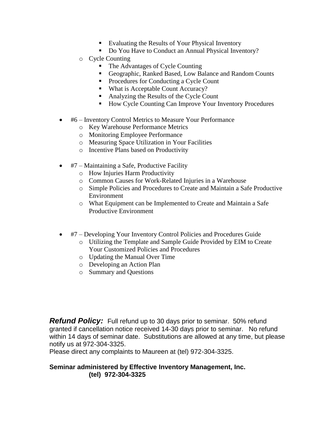- Evaluating the Results of Your Physical Inventory
- Do You Have to Conduct an Annual Physical Inventory?
- o Cycle Counting
	- The Advantages of Cycle Counting
	- Geographic, Ranked Based, Low Balance and Random Counts
	- Procedures for Conducting a Cycle Count
	- What is Acceptable Count Accuracy?
	- Analyzing the Results of the Cycle Count
	- How Cycle Counting Can Improve Your Inventory Procedures
- #6 Inventory Control Metrics to Measure Your Performance
	- o Key Warehouse Performance Metrics
	- o Monitoring Employee Performance
	- o Measuring Space Utilization in Your Facilities
	- o Incentive Plans based on Productivity
- #7 Maintaining a Safe, Productive Facility
	- o How Injuries Harm Productivity
	- o Common Causes for Work-Related Injuries in a Warehouse
	- o Simple Policies and Procedures to Create and Maintain a Safe Productive Environment
	- o What Equipment can be Implemented to Create and Maintain a Safe Productive Environment
- #7 Developing Your Inventory Control Policies and Procedures Guide
	- o Utilizing the Template and Sample Guide Provided by EIM to Create Your Customized Policies and Procedures
	- o Updating the Manual Over Time
	- o Developing an Action Plan
	- o Summary and Questions

*Refund Policy:* Full refund up to 30 days prior to seminar. 50% refund granted if cancellation notice received 14-30 days prior to seminar. No refund within 14 days of seminar date. Substitutions are allowed at any time, but please notify us at 972-304-3325.

Please direct any complaints to Maureen at (tel) 972-304-3325.

### **Seminar administered by Effective Inventory Management, Inc. (tel) 972-304-3325**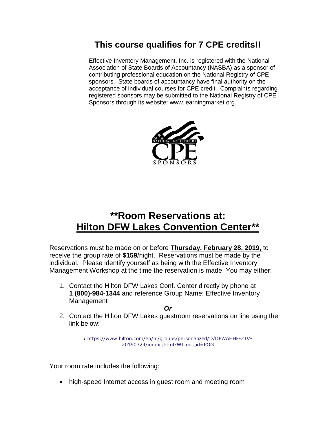# **This course qualifies for 7 CPE credits!!**

Effective Inventory Management, Inc. is registered with the National Association of State Boards of Accountancy (NASBA) as a sponsor of contributing professional education on the National Registry of CPE sponsors. State boards of accountancy have final authority on the acceptance of individual courses for CPE credit. Complaints regarding registered sponsors may be submitted to the National Registry of CPE Sponsors through its website: www.learningmarket.org.



# **\*\*Room Reservations at: Hilton DFW Lakes Convention Center\*\***

Reservations must be made on or before **Thursday, February 28, 2019,** to receive the group rate of **\$159**/night. Reservations must be made by the individual. Please identify yourself as being with the Effective Inventory Management Workshop at the time the reservation is made. You may either:

1. Contact the Hilton DFW Lakes Conf. Center directly by phone at **1 (800)-984-1344** and reference Group Name: Effective Inventory Management

2. Contact the Hilton DFW Lakes guestroom reservations on line using the link below:

> **:** [https://www.hilton.com/en/hi/groups/personalized/D/DFWAHHF-2TV-](https://na01.safelinks.protection.outlook.com/?url=https%3A%2F%2Fwww.hilton.com%2Fen%2Fhi%2Fgroups%2Fpersonalized%2FD%2FDFWAHHF-2TV-20190324%2Findex.jhtml%3FWT.mc_id%3DPOG&data=02%7C01%7CCamille.Aguilo%40hilton.com%7C2a9a7d32fdd9418349a608d64ef072d5%7C660292d2cfd54a3db7a7e8f7ee458a0a%7C0%7C0%7C636783191947955096&sdata=O7OldwWmzx8RWv8izN6PCH819pXMyvmRZ6Ksx0xQcNk%3D&reserved=0)[20190324/index.jhtml?WT.mc\\_id=POG](https://na01.safelinks.protection.outlook.com/?url=https%3A%2F%2Fwww.hilton.com%2Fen%2Fhi%2Fgroups%2Fpersonalized%2FD%2FDFWAHHF-2TV-20190324%2Findex.jhtml%3FWT.mc_id%3DPOG&data=02%7C01%7CCamille.Aguilo%40hilton.com%7C2a9a7d32fdd9418349a608d64ef072d5%7C660292d2cfd54a3db7a7e8f7ee458a0a%7C0%7C0%7C636783191947955096&sdata=O7OldwWmzx8RWv8izN6PCH819pXMyvmRZ6Ksx0xQcNk%3D&reserved=0)

Your room rate includes the following:

high-speed Internet access in guest room and meeting room

*Or*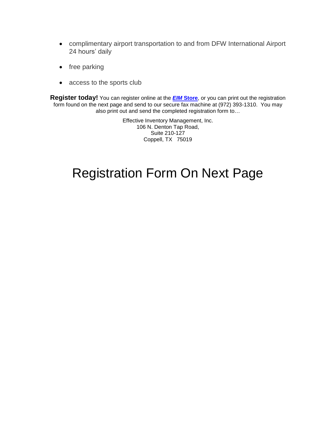- complimentary airport transportation to and from DFW International Airport 24 hours' daily
- free parking
- access to the sports club

**Register today!** You can register online at the *EIM* **[Store](http://www.effectiveinventory.com/store.html)**, or you can print out the registration form found on the next page and send to our secure fax machine at (972) 393-1310. You may also print out and send the completed registration form to…

> Effective Inventory Management, Inc. 106 N. Denton Tap Road, Suite 210-127 Coppell, TX 75019

# Registration Form On Next Page